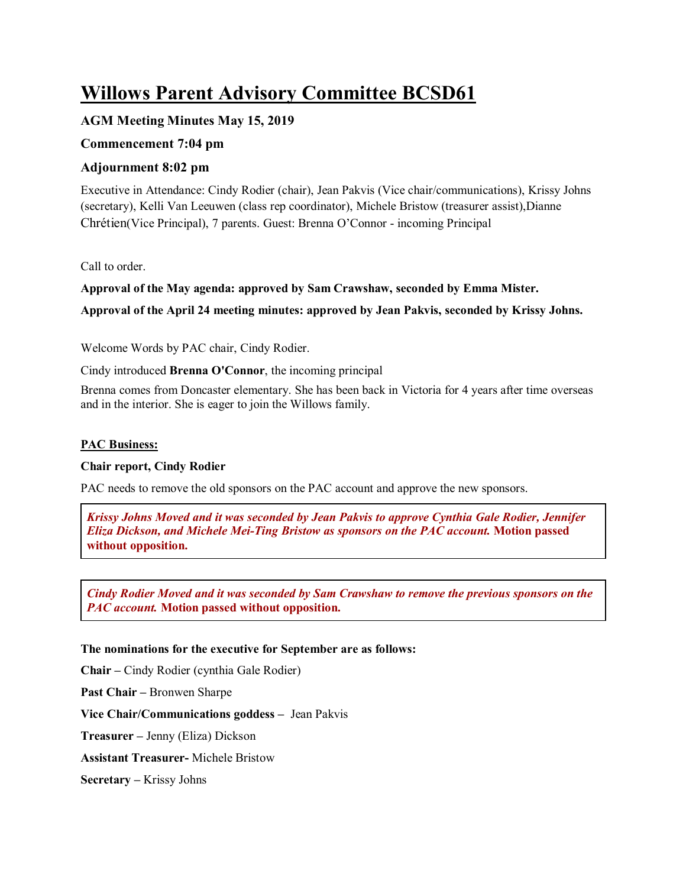# **Willows Parent Advisory Committee BCSD61**

## **AGM Meeting Minutes May 15, 2019**

## **Commencement 7:04 pm**

## **Adjournment 8:02 pm**

Executive in Attendance: Cindy Rodier (chair), Jean Pakvis (Vice chair/communications), Krissy Johns (secretary), Kelli Van Leeuwen (class rep coordinator), Michele Bristow (treasurer assist),Dianne Chrétien(Vice Principal), 7 parents. Guest: Brenna O'Connor - incoming Principal

Call to order.

**Approval of the May agenda: approved by Sam Crawshaw, seconded by Emma Mister.**

**Approval of the April 24 meeting minutes: approved by Jean Pakvis, seconded by Krissy Johns.**

Welcome Words by PAC chair, Cindy Rodier.

Cindy introduced **Brenna O'Connor**, the incoming principal

Brenna comes from Doncaster elementary. She has been back in Victoria for 4 years after time overseas and in the interior. She is eager to join the Willows family.

### **PAC Business:**

## **Chair report, Cindy Rodier**

PAC needs to remove the old sponsors on the PAC account and approve the new sponsors.

*Krissy Johns Moved and it was seconded by Jean Pakvis to approve Cynthia Gale Rodier, Jennifer Eliza Dickson, and Michele Mei-Ting Bristow as sponsors on the PAC account.* **Motion passed without opposition.**

*Cindy Rodier Moved and it was seconded by Sam Crawshaw to remove the previous sponsors on the PAC account.* **Motion passed without opposition.**

## **The nominations for the executive for September are as follows:**

**Chair –** Cindy Rodier (cynthia Gale Rodier)

**Past Chair –** Bronwen Sharpe

**Vice Chair/Communications goddess –** Jean Pakvis

**Treasurer –** Jenny (Eliza) Dickson

**Assistant Treasurer-** Michele Bristow

**Secretary –** Krissy Johns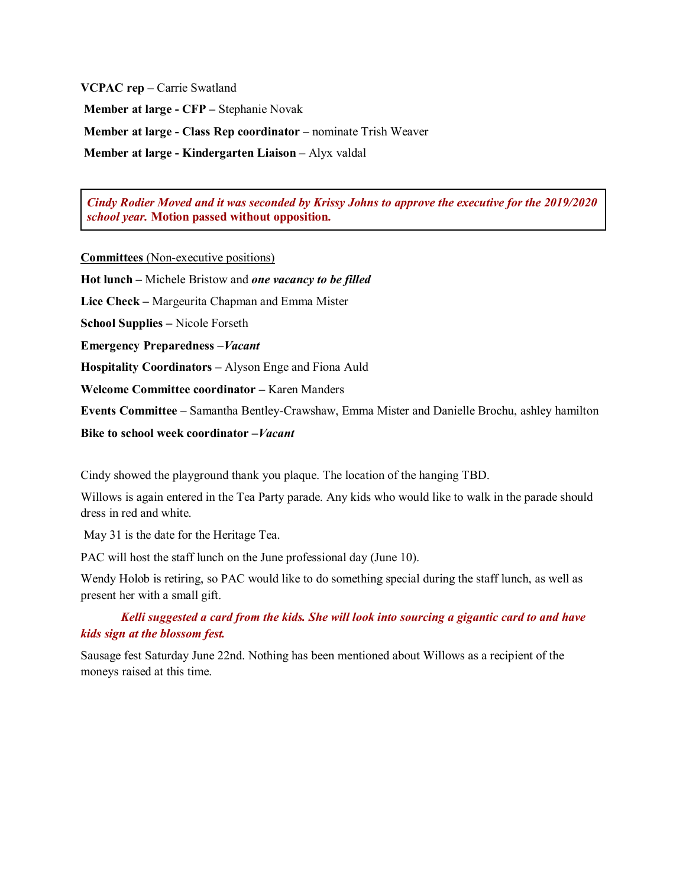**VCPAC rep –** Carrie Swatland

**Member at large - CFP –** Stephanie Novak

**Member at large - Class Rep coordinator –** nominate Trish Weaver

**Member at large - Kindergarten Liaison –** Alyx valdal

*Cindy Rodier Moved and it was seconded by Krissy Johns to approve the executive for the 2019/2020 school year.* **Motion passed without opposition.**

**Committees** (Non-executive positions)

**Hot lunch –** Michele Bristow and *one vacancy to be filled*

**Lice Check –** Margeurita Chapman and Emma Mister

**School Supplies –** Nicole Forseth

**Emergency Preparedness –***Vacant* 

**Hospitality Coordinators –** Alyson Enge and Fiona Auld

**Welcome Committee coordinator –** Karen Manders

**Events Committee –** Samantha Bentley-Crawshaw, Emma Mister and Danielle Brochu, ashley hamilton

**Bike to school week coordinator –***Vacant*

Cindy showed the playground thank you plaque. The location of the hanging TBD.

Willows is again entered in the Tea Party parade. Any kids who would like to walk in the parade should dress in red and white.

May 31 is the date for the Heritage Tea.

PAC will host the staff lunch on the June professional day (June 10).

Wendy Holob is retiring, so PAC would like to do something special during the staff lunch, as well as present her with a small gift.

*Kelli suggested a card from the kids. She will look into sourcing a gigantic card to and have kids sign at the blossom fest.* 

Sausage fest Saturday June 22nd. Nothing has been mentioned about Willows as a recipient of the moneys raised at this time.